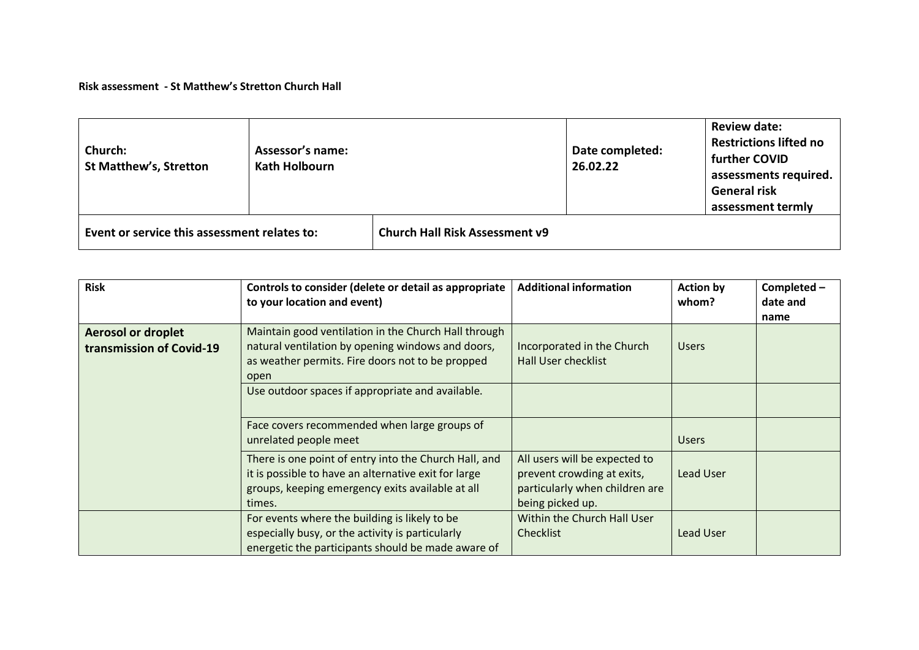## **Risk assessment - St Matthew's Stretton Church Hall**

| Church:<br><b>St Matthew's, Stretton</b>     | <b>Assessor's name:</b><br><b>Kath Holbourn</b> | Date completed:<br>26.02.22           |  | <b>Review date:</b><br><b>Restrictions lifted no</b><br>further COVID<br>assessments required.<br><b>General risk</b><br>assessment termly |
|----------------------------------------------|-------------------------------------------------|---------------------------------------|--|--------------------------------------------------------------------------------------------------------------------------------------------|
| Event or service this assessment relates to: |                                                 | <b>Church Hall Risk Assessment v9</b> |  |                                                                                                                                            |

| <b>Risk</b>                                           | Controls to consider (delete or detail as appropriate<br>to your location and event)                                                                                        | <b>Additional information</b>                                                                                     | <b>Action by</b><br>whom? | Completed -<br>date and<br>name |
|-------------------------------------------------------|-----------------------------------------------------------------------------------------------------------------------------------------------------------------------------|-------------------------------------------------------------------------------------------------------------------|---------------------------|---------------------------------|
| <b>Aerosol or droplet</b><br>transmission of Covid-19 | Maintain good ventilation in the Church Hall through<br>natural ventilation by opening windows and doors,<br>as weather permits. Fire doors not to be propped<br>open       | Incorporated in the Church<br><b>Hall User checklist</b>                                                          | <b>Users</b>              |                                 |
|                                                       | Use outdoor spaces if appropriate and available.                                                                                                                            |                                                                                                                   |                           |                                 |
|                                                       | Face covers recommended when large groups of<br>unrelated people meet                                                                                                       |                                                                                                                   | <b>Users</b>              |                                 |
|                                                       | There is one point of entry into the Church Hall, and<br>it is possible to have an alternative exit for large<br>groups, keeping emergency exits available at all<br>times. | All users will be expected to<br>prevent crowding at exits,<br>particularly when children are<br>being picked up. | Lead User                 |                                 |
|                                                       | For events where the building is likely to be<br>especially busy, or the activity is particularly<br>energetic the participants should be made aware of                     | Within the Church Hall User<br><b>Checklist</b>                                                                   | Lead User                 |                                 |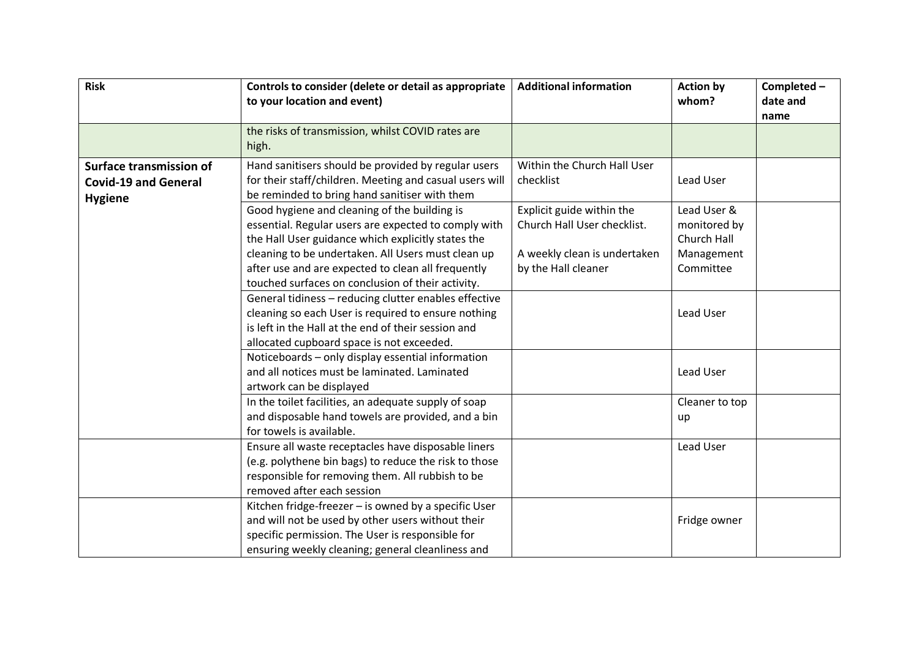| <b>Risk</b>                    | Controls to consider (delete or detail as appropriate<br>to your location and event) | <b>Additional information</b> | <b>Action by</b><br>whom? | Completed -<br>date and |
|--------------------------------|--------------------------------------------------------------------------------------|-------------------------------|---------------------------|-------------------------|
|                                |                                                                                      |                               |                           | name                    |
|                                | the risks of transmission, whilst COVID rates are                                    |                               |                           |                         |
|                                | high.                                                                                |                               |                           |                         |
| <b>Surface transmission of</b> | Hand sanitisers should be provided by regular users                                  | Within the Church Hall User   |                           |                         |
| <b>Covid-19 and General</b>    | for their staff/children. Meeting and casual users will                              | checklist                     | Lead User                 |                         |
| <b>Hygiene</b>                 | be reminded to bring hand sanitiser with them                                        |                               |                           |                         |
|                                | Good hygiene and cleaning of the building is                                         | Explicit guide within the     | Lead User &               |                         |
|                                | essential. Regular users are expected to comply with                                 | Church Hall User checklist.   | monitored by              |                         |
|                                | the Hall User guidance which explicitly states the                                   |                               | Church Hall               |                         |
|                                | cleaning to be undertaken. All Users must clean up                                   | A weekly clean is undertaken  | Management                |                         |
|                                | after use and are expected to clean all frequently                                   | by the Hall cleaner           | Committee                 |                         |
|                                | touched surfaces on conclusion of their activity.                                    |                               |                           |                         |
|                                | General tidiness - reducing clutter enables effective                                |                               |                           |                         |
|                                | cleaning so each User is required to ensure nothing                                  |                               | Lead User                 |                         |
|                                | is left in the Hall at the end of their session and                                  |                               |                           |                         |
|                                | allocated cupboard space is not exceeded.                                            |                               |                           |                         |
|                                | Noticeboards - only display essential information                                    |                               |                           |                         |
|                                | and all notices must be laminated. Laminated                                         |                               | Lead User                 |                         |
|                                | artwork can be displayed                                                             |                               |                           |                         |
|                                | In the toilet facilities, an adequate supply of soap                                 |                               | Cleaner to top            |                         |
|                                | and disposable hand towels are provided, and a bin                                   |                               | up                        |                         |
|                                | for towels is available.                                                             |                               |                           |                         |
|                                | Ensure all waste receptacles have disposable liners                                  |                               | Lead User                 |                         |
|                                | (e.g. polythene bin bags) to reduce the risk to those                                |                               |                           |                         |
|                                | responsible for removing them. All rubbish to be                                     |                               |                           |                         |
|                                | removed after each session                                                           |                               |                           |                         |
|                                | Kitchen fridge-freezer - is owned by a specific User                                 |                               |                           |                         |
|                                | and will not be used by other users without their                                    |                               | Fridge owner              |                         |
|                                | specific permission. The User is responsible for                                     |                               |                           |                         |
|                                | ensuring weekly cleaning; general cleanliness and                                    |                               |                           |                         |